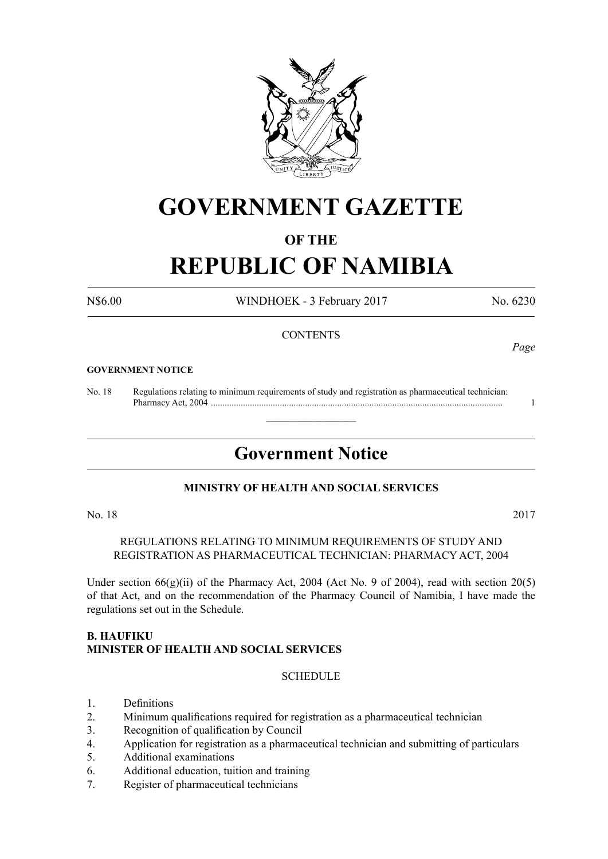

# **GOVERNMENT GAZETTE**

# **OF THE**

# **REPUBLIC OF NAMIBIA**

N\$6.00 WINDHOEK - 3 February 2017 No. 6230

# **CONTENTS**

#### **GOVERNMENT NOTICE**

No. 18 Regulations relating to minimum requirements of study and registration as pharmaceutical technician: Pharmacy Act, 2004 ............................................................................................................................... 1

# **Government Notice**

 $\overline{\phantom{a}}$  , where  $\overline{\phantom{a}}$ 

### **MINISTRY OF HEALTH AND SOCIAL SERVICES**

#### No. 18 2017

REGULATIONS RELATING TO MINIMUM REQUIREMENTS OF STUDY AND REGISTRATION AS PHARMACEUTICAL TECHNICIAN: PHARMACY ACT, 2004

Under section  $66(g)(ii)$  of the Pharmacy Act, 2004 (Act No. 9 of 2004), read with section 20(5) of that Act, and on the recommendation of the Pharmacy Council of Namibia, I have made the regulations set out in the Schedule.

#### **B. Haufiku Minister of Health and Social Services**

#### **SCHEDULE**

- 1. Definitions
- 2. Minimum qualifications required for registration as a pharmaceutical technician
- 3. Recognition of qualification by Council
- 4. Application for registration as a pharmaceutical technician and submitting of particulars
- 5. Additional examinations
- 6. Additional education, tuition and training
- 7. Register of pharmaceutical technicians

*Page*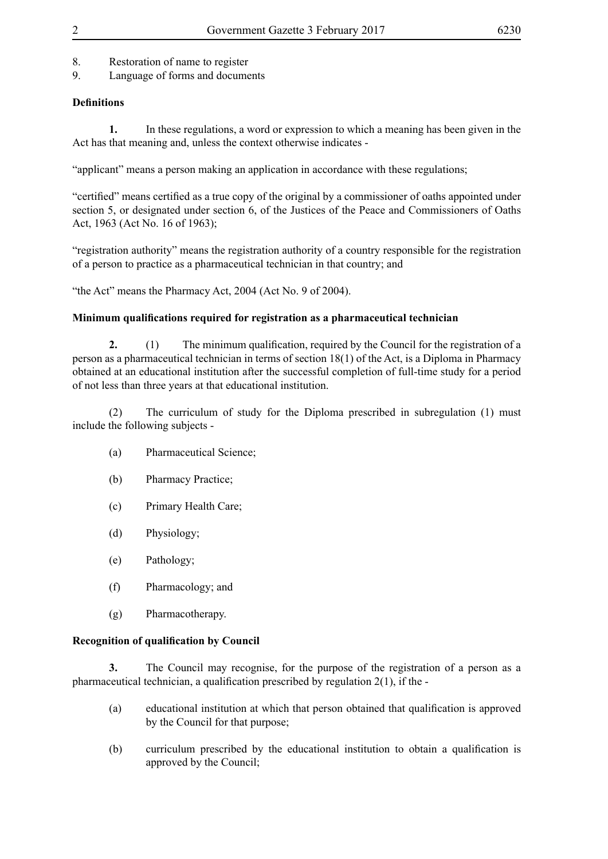- 8. Restoration of name to register
- 9. Language of forms and documents

# **Definitions**

**1.** In these regulations, a word or expression to which a meaning has been given in the Act has that meaning and, unless the context otherwise indicates -

"applicant" means a person making an application in accordance with these regulations;

"certified" means certified as a true copy of the original by a commissioner of oaths appointed under section 5, or designated under section 6, of the Justices of the Peace and Commissioners of Oaths Act, 1963 (Act No. 16 of 1963);

"registration authority" means the registration authority of a country responsible for the registration of a person to practice as a pharmaceutical technician in that country; and

"the Act" means the Pharmacy Act, 2004 (Act No. 9 of 2004).

# **Minimum qualifications required for registration as a pharmaceutical technician**

**2.** (1) The minimum qualification, required by the Council for the registration of a person as a pharmaceutical technician in terms of section 18(1) of the Act, is a Diploma in Pharmacy obtained at an educational institution after the successful completion of full-time study for a period of not less than three years at that educational institution.

(2) The curriculum of study for the Diploma prescribed in subregulation (1) must include the following subjects -

- (a) Pharmaceutical Science;
- (b) Pharmacy Practice;
- (c) Primary Health Care;
- (d) Physiology;
- (e) Pathology;
- (f) Pharmacology; and
- (g) Pharmacotherapy.

# **Recognition of qualification by Council**

**3.** The Council may recognise, for the purpose of the registration of a person as a pharmaceutical technician, a qualification prescribed by regulation 2(1), if the -

- (a) educational institution at which that person obtained that qualification is approved by the Council for that purpose;
- (b) curriculum prescribed by the educational institution to obtain a qualification is approved by the Council;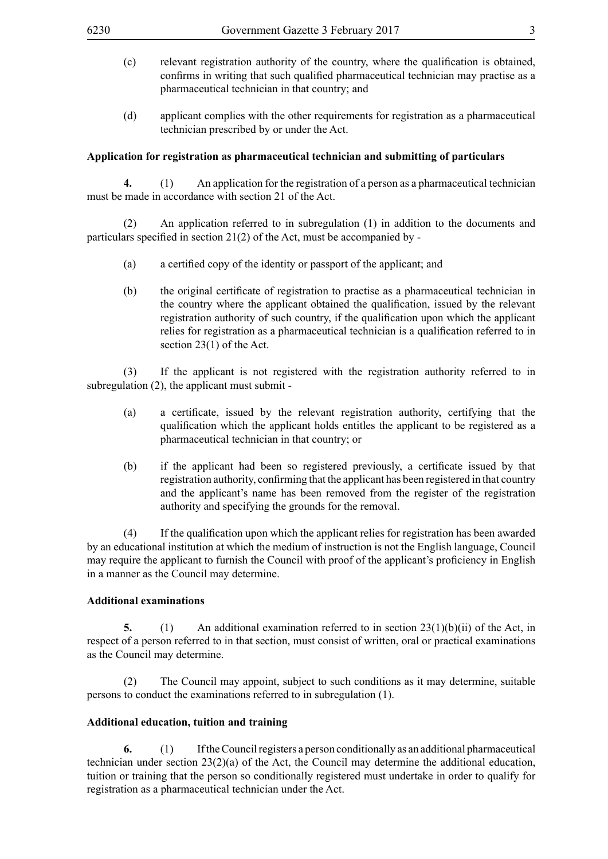- (c) relevant registration authority of the country, where the qualification is obtained, confirms in writing that such qualified pharmaceutical technician may practise as a pharmaceutical technician in that country; and
- (d) applicant complies with the other requirements for registration as a pharmaceutical technician prescribed by or under the Act.

#### **Application for registration as pharmaceutical technician and submitting of particulars**

**4.** (1) An application for the registration of a person as a pharmaceutical technician must be made in accordance with section 21 of the Act.

(2) An application referred to in subregulation (1) in addition to the documents and particulars specified in section 21(2) of the Act, must be accompanied by -

- (a) a certified copy of the identity or passport of the applicant; and
- (b) the original certificate of registration to practise as a pharmaceutical technician in the country where the applicant obtained the qualification, issued by the relevant registration authority of such country, if the qualification upon which the applicant relies for registration as a pharmaceutical technician is a qualification referred to in section 23(1) of the Act.

(3) If the applicant is not registered with the registration authority referred to in subregulation (2), the applicant must submit -

- (a) a certificate, issued by the relevant registration authority, certifying that the qualification which the applicant holds entitles the applicant to be registered as a pharmaceutical technician in that country; or
- (b) if the applicant had been so registered previously, a certificate issued by that registration authority, confirming that the applicant has been registered in that country and the applicant's name has been removed from the register of the registration authority and specifying the grounds for the removal.

 (4) If the qualification upon which the applicant relies for registration has been awarded by an educational institution at which the medium of instruction is not the English language, Council may require the applicant to furnish the Council with proof of the applicant's proficiency in English in a manner as the Council may determine.

#### **Additional examinations**

**5.** (1) An additional examination referred to in section 23(1)(b)(ii) of the Act, in respect of a person referred to in that section, must consist of written, oral or practical examinations as the Council may determine.

(2) The Council may appoint, subject to such conditions as it may determine, suitable persons to conduct the examinations referred to in subregulation (1).

#### **Additional education, tuition and training**

**6.** (1) If the Council registers a person conditionally as an additional pharmaceutical technician under section 23(2)(a) of the Act, the Council may determine the additional education, tuition or training that the person so conditionally registered must undertake in order to qualify for registration as a pharmaceutical technician under the Act.